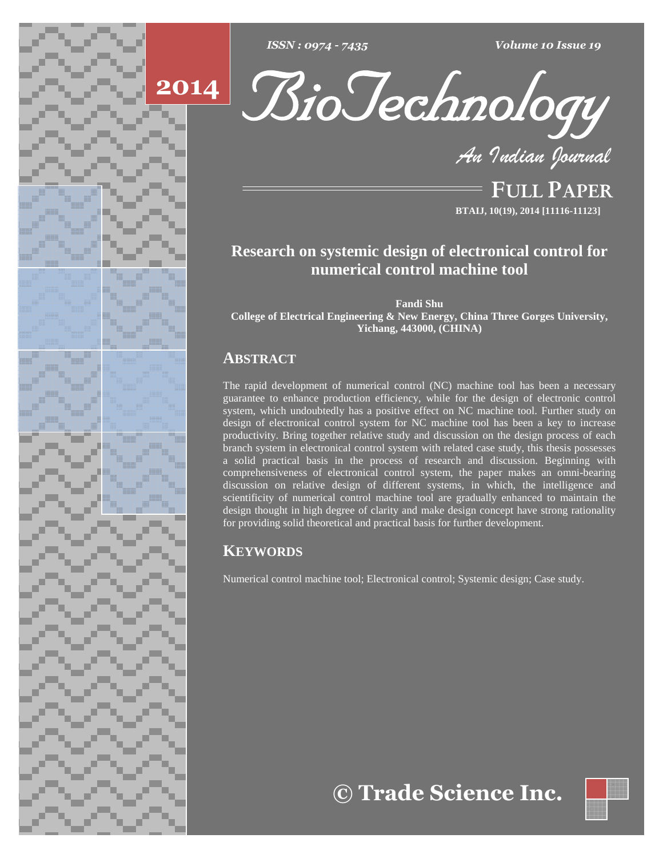





**FULL PAPER BTAIJ, 10(19), 2014 [11116-11123]**

# **Research on systemic design of electronical control for numerical control machine tool**

**Fandi Shu**

**College of Electrical Engineering & New Energy, China Three Gorges University, Yichang, 443000, (CHINA)**

## **ABSTRACT**

The rapid development of numerical control (NC) machine tool has been a necessary guarantee to enhance production efficiency, while for the design of electronic control system, which undoubtedly has a positive effect on NC machine tool. Further study on design of electronical control system for NC machine tool has been a key to increase productivity. Bring together relative study and discussion on the design process of each branch system in electronical control system with related case study, this thesis possesses a solid practical basis in the process of research and discussion. Beginning with comprehensiveness of electronical control system, the paper makes an omni-bearing discussion on relative design of different systems, in which, the intelligence and scientificity of numerical control machine tool are gradually enhanced to maintain the design thought in high degree of clarity and make design concept have strong rationality for providing solid theoretical and practical basis for further development.

## **KEYWORDS**

Numerical control machine tool; Electronical control; Systemic design; Case study.

**Trade Science Inc.**

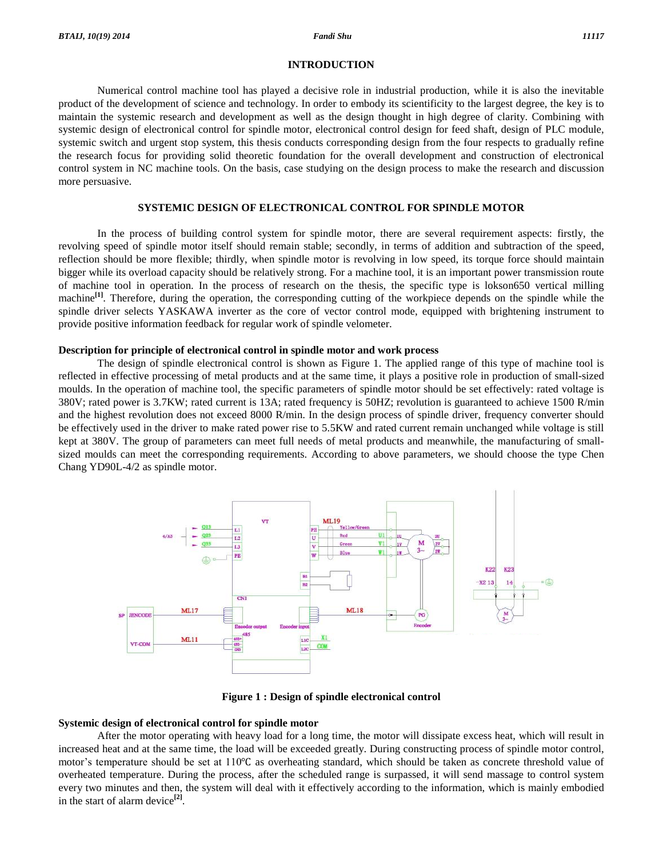#### **INTRODUCTION**

Numerical control machine tool has played a decisive role in industrial production, while it is also the inevitable product of the development of science and technology. In order to embody its scientificity to the largest degree, the key is to maintain the systemic research and development as well as the design thought in high degree of clarity. Combining with systemic design of electronical control for spindle motor, electronical control design for feed shaft, design of PLC module, systemic switch and urgent stop system, this thesis conducts corresponding design from the four respects to gradually refine the research focus for providing solid theoretic foundation for the overall development and construction of electronical control system in NC machine tools. On the basis, case studying on the design process to make the research and discussion more persuasive.

#### **SYSTEMIC DESIGN OF ELECTRONICAL CONTROL FOR SPINDLE MOTOR**

In the process of building control system for spindle motor, there are several requirement aspects: firstly, the revolving speed of spindle motor itself should remain stable; secondly, in terms of addition and subtraction of the speed, reflection should be more flexible; thirdly, when spindle motor is revolving in low speed, its torque force should maintain bigger while its overload capacity should be relatively strong. For a machine tool, it is an important power transmission route of machine tool in operation. In the process of research on the thesis, the specific type is lokson650 vertical milling machine<sup>[1]</sup>. Therefore, during the operation, the corresponding cutting of the workpiece depends on the spindle while the spindle driver selects YASKAWA inverter as the core of vector control mode, equipped with brightening instrument to provide positive information feedback for regular work of spindle velometer.

#### **Description for principle of electronical control in spindle motor and work process**

The design of spindle electronical control is shown as Figure 1. The applied range of this type of machine tool is reflected in effective processing of metal products and at the same time, it plays a positive role in production of small-sized moulds. In the operation of machine tool, the specific parameters of spindle motor should be set effectively: rated voltage is 380V; rated power is 3.7KW; rated current is 13A; rated frequency is 50HZ; revolution is guaranteed to achieve 1500 R/min and the highest revolution does not exceed 8000 R/min. In the design process of spindle driver, frequency converter should be effectively used in the driver to make rated power rise to 5.5KW and rated current remain unchanged while voltage is still kept at 380V. The group of parameters can meet full needs of metal products and meanwhile, the manufacturing of smallsized moulds can meet the corresponding requirements. According to above parameters, we should choose the type Chen Chang YD90L-4/2 as spindle motor.



**Figure 1 : Design of spindle electronical control**

#### **Systemic design of electronical control for spindle motor**

After the motor operating with heavy load for a long time, the motor will dissipate excess heat, which will result in increased heat and at the same time, the load will be exceeded greatly. During constructing process of spindle motor control, motor's temperature should be set at 110℃ as overheating standard, which should be taken as concrete threshold value of overheated temperature. During the process, after the scheduled range is surpassed, it will send massage to control system every two minutes and then, the system will deal with it effectively according to the information, which is mainly embodied in the start of alarm device **[2]**.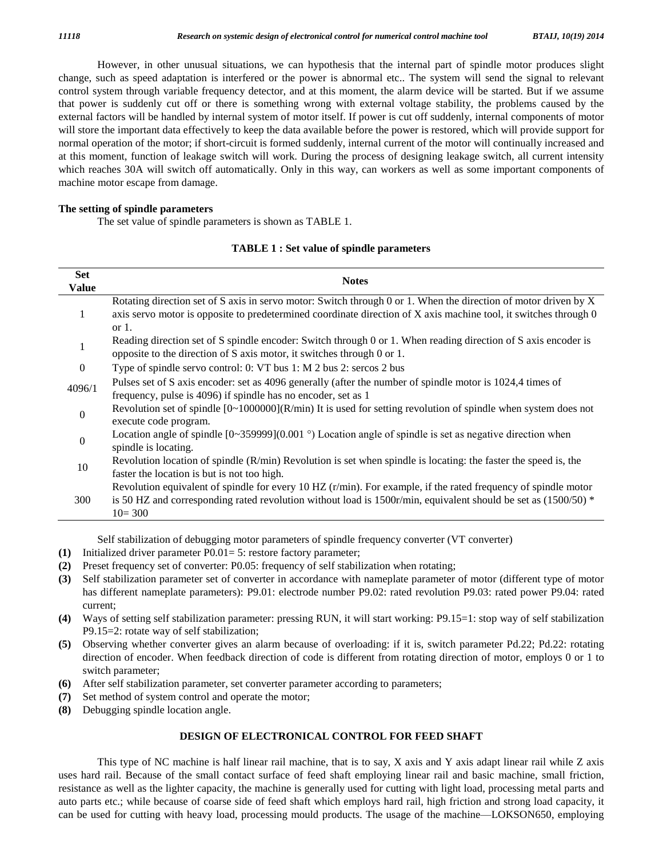However, in other unusual situations, we can hypothesis that the internal part of spindle motor produces slight change, such as speed adaptation is interfered or the power is abnormal etc.. The system will send the signal to relevant control system through variable frequency detector, and at this moment, the alarm device will be started. But if we assume that power is suddenly cut off or there is something wrong with external voltage stability, the problems caused by the external factors will be handled by internal system of motor itself. If power is cut off suddenly, internal components of motor will store the important data effectively to keep the data available before the power is restored, which will provide support for normal operation of the motor; if short-circuit is formed suddenly, internal current of the motor will continually increased and at this moment, function of leakage switch will work. During the process of designing leakage switch, all current intensity which reaches 30A will switch off automatically. Only in this way, can workers as well as some important components of machine motor escape from damage.

#### **The setting of spindle parameters**

The set value of spindle parameters is shown as TABLE 1.

#### **TABLE 1 : Set value of spindle parameters**

| <b>Set</b>     | <b>Notes</b>                                                                                                      |  |  |  |
|----------------|-------------------------------------------------------------------------------------------------------------------|--|--|--|
| <b>Value</b>   |                                                                                                                   |  |  |  |
| 1              | Rotating direction set of S axis in servo motor: Switch through 0 or 1. When the direction of motor driven by X   |  |  |  |
|                | axis servo motor is opposite to predetermined coordinate direction of X axis machine tool, it switches through 0  |  |  |  |
|                | or $1$ .                                                                                                          |  |  |  |
|                | Reading direction set of S spindle encoder: Switch through 0 or 1. When reading direction of S axis encoder is    |  |  |  |
|                | opposite to the direction of S axis motor, it switches through 0 or 1.                                            |  |  |  |
| $\overline{0}$ | Type of spindle servo control: 0: VT bus 1: M 2 bus 2: sercos 2 bus                                               |  |  |  |
| 4096/1         | Pulses set of S axis encoder: set as 4096 generally (after the number of spindle motor is 1024,4 times of         |  |  |  |
|                | frequency, pulse is 4096) if spindle has no encoder, set as 1                                                     |  |  |  |
| $\overline{0}$ | Revolution set of spindle $[0~1000000](R/min)$ It is used for setting revolution of spindle when system does not  |  |  |  |
|                | execute code program.                                                                                             |  |  |  |
| $\theta$       | Location angle of spindle $[0-359999](0.001)$ $\circ$ Location angle of spindle is set as negative direction when |  |  |  |
|                | spindle is locating.                                                                                              |  |  |  |
| 10             | Revolution location of spindle $(R/min)$ Revolution is set when spindle is locating: the faster the speed is, the |  |  |  |
|                | faster the location is but is not too high.                                                                       |  |  |  |
| 300            | Revolution equivalent of spindle for every 10 HZ $(r/min)$ . For example, if the rated frequency of spindle motor |  |  |  |
|                | is 50 HZ and corresponding rated revolution without load is 1500r/min, equivalent should be set as $(1500/50)$ *  |  |  |  |
|                | $10 = 300$                                                                                                        |  |  |  |

Self stabilization of debugging motor parameters of spindle frequency converter (VT converter)

- **(1)** Initialized driver parameter P0.01= 5: restore factory parameter;
- **(2)** Preset frequency set of converter: P0.05: frequency of self stabilization when rotating;
- **(3)** Self stabilization parameter set of converter in accordance with nameplate parameter of motor (different type of motor has different nameplate parameters): P9.01: electrode number P9.02: rated revolution P9.03: rated power P9.04: rated current;
- **(4)** Ways of setting self stabilization parameter: pressing RUN, it will start working: P9.15=1: stop way of self stabilization P9.15=2: rotate way of self stabilization;
- **(5)** Observing whether converter gives an alarm because of overloading: if it is, switch parameter Pd.22; Pd.22: rotating direction of encoder. When feedback direction of code is different from rotating direction of motor, employs 0 or 1 to switch parameter;
- **(6)** After self stabilization parameter, set converter parameter according to parameters;
- **(7)** Set method of system control and operate the motor;
- **(8)** Debugging spindle location angle.

#### **DESIGN OF ELECTRONICAL CONTROL FOR FEED SHAFT**

This type of NC machine is half linear rail machine, that is to say,  $X$  axis and  $Y$  axis adapt linear rail while  $Z$  axis uses hard rail. Because of the small contact surface of feed shaft employing linear rail and basic machine, small friction, resistance as well as the lighter capacity, the machine is generally used for cutting with light load, processing metal parts and auto parts etc.; while because of coarse side of feed shaft which employs hard rail, high friction and strong load capacity, it resistance as well as the lighter capacity, the machine is generally used for cutting with light load, processing metal parts and<br>auto parts etc.; while because of coarse side of feed shaft which employs hard rail, high fr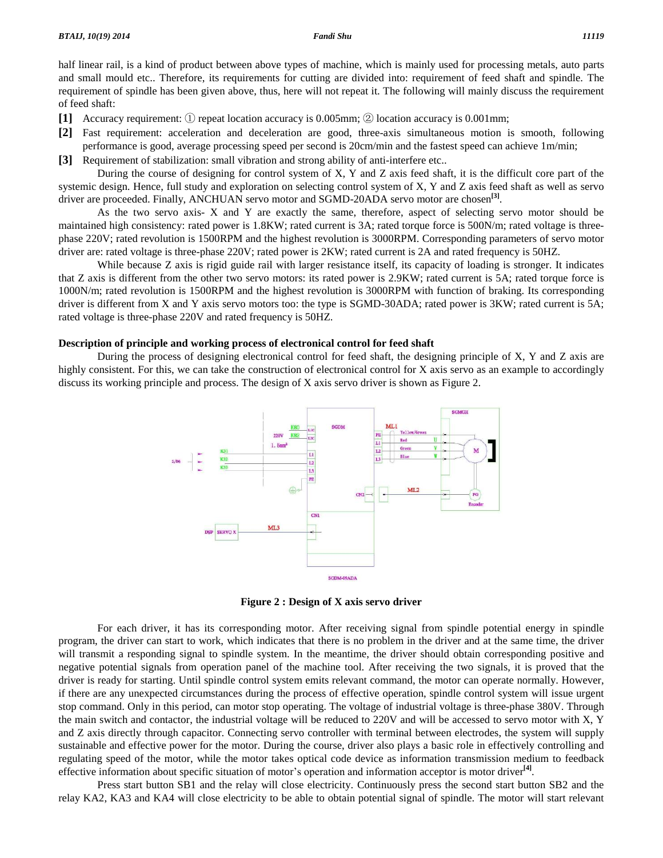half linear rail, is a kind of product between above types of machine, which is mainly used for processing metals, auto parts and small mould etc.. Therefore, its requirements for cutting are divided into: requirement of feed shaft and spindle. The requirement of spindle has been given above, thus, here will not repeat it. The following will mainly discuss the requirement of feed shaft:

- **[1]** Accuracy requirement: ① repeat location accuracy is 0.005mm; ② location accuracy is 0.001mm;
- **[2]** Fast requirement: acceleration and deceleration are good, three-axis simultaneous motion is smooth, following performance is good, average processing speed per second is 20cm/min and the fastest speed can achieve 1m/min;
- **[3]** Requirement of stabilization: small vibration and strong ability of anti-interfere etc..

During the course of designing for control system of X, Y and Z axis feed shaft, it is the difficult core part of the systemic design. Hence, full study and exploration on selecting control system of X, Y and Z axis feed shaft as well as servo driver are proceeded. Finally, ANCHUAN servo motor and SGMD-20ADA servo motor are chosen **[3]**.

As the two servo axis- X and Y are exactly the same, therefore, aspect of selecting servo motor should be maintained high consistency: rated power is 1.8KW; rated current is 3A; rated torque force is 500N/m; rated voltage is threephase 220V; rated revolution is 1500RPM and thehighest revolution is 3000RPM. Corresponding parameters of servo motor driver are: rated voltage is three-phase 220V; rated power is 2KW; rated current is 2A and rated frequency is 50HZ.

While because Z axis is rigid guide rail with larger resistance itself, its capacity of loading is stronger. It indicates that Z axis is different from the other two servo motors: its rated power is 2.9KW; rated current is 5A; rated torque force is 1000N/m; rated revolution is 1500RPM and thehighest revolution is 3000RPM with function ofbraking. Its corresponding driver is different from X and Y axis servo motors too: the type is SGMD-30ADA; rated power is 3KW; rated current is 5A; rated voltage is three-phase 220V and rated frequency is 50HZ.

#### **Description of principle and working process of electronical control for feed shaft**

During the process of designing electronical control for feed shaft, the designing principle of X, Y and Z axis are highly consistent. For this, we can take the construction of electronical control for X axis servo as an example to accordingly discuss its working principle and process. The design of X axis servo driver is shown as Figure 2.



**Figure 2 : Design of X axis servo driver**

For each driver, it has its corresponding motor. After receiving signal from spindle potential energy in spindle program, the driver can start to work, which indicates that there is no problem in the driver and at the same time, the driver will transmit a responding signal to spindle system. In the meantime, the driver should obtain corresponding positive and negative potential signals from operation panel of the machine tool. After receiving the two signals, it is proved that the driver is ready for starting. Until spindle control system emits relevant command, the motor can operate normally. However, if there are any unexpected circumstances during the process of effective operation, spindle control system will issue urgent stop command. Only in this period, can motor stop operating. The voltage of industrial voltage is three-phase 380V. Through the main switch and contactor, the industrial voltage will be reduced to 220V and will be accessed to servo motor with X, Y and Z axis directly through capacitor. Connecting servo controller with terminal between electrodes, the system will supply sustainable and effective power for the motor. During the course, driver also plays a basic role in effectively controlling and regulating speed ofthe motor, while the motor takes optical code device as information transmission medium to feedback sustainable and effective power for the motor. During the course, driver also plays a basic role in effectively con<br>regulating speed of the motor, while the motor takes optical code device as information transmission mediu

Press start button SB1 and the relay will close electricity. Continuously press the second start button SB2 and the relay KA2, KA3 and KA4 will close electricity to be able to obtain potential signal of spindle. The motor will start relevant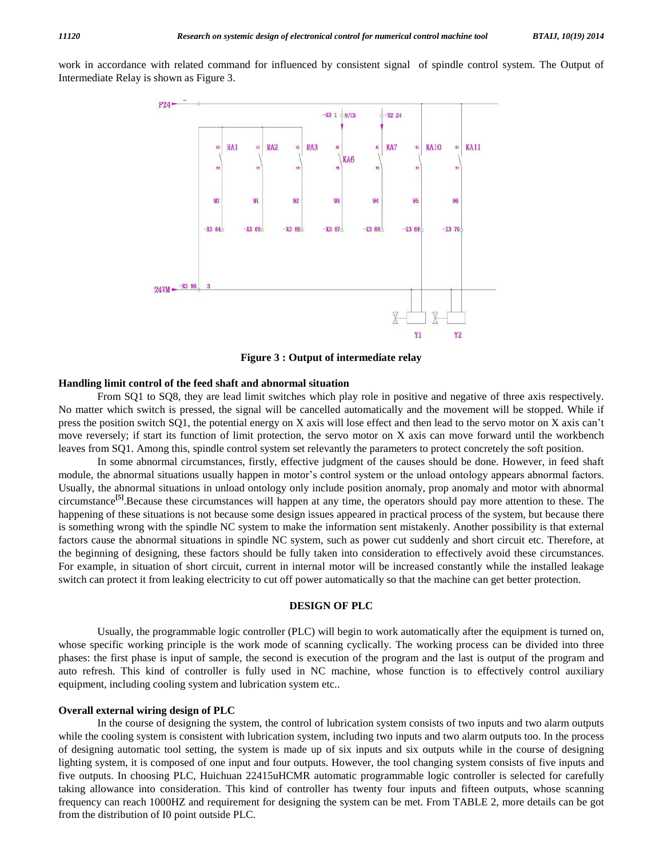work in accordance with related command for influenced by consistent signal of spindle control system. The Output of Intermediate Relay is shown as Figure 3.



**Figure 3 : Output of intermediate relay**

#### **Handling limit control of the feed shaft and abnormal situation**

From SQ1 to SQ8, they are lead limit switches which play role in positive and negative of three axis respectively. No matter which switch is pressed, the signal will be cancelled automatically and the movement will be stopped. While if From SQ1 to SQ8, they are lead limit switches which play role in positive and negative of three axis respectively.<br>No matter which switch is pressed, the signal will be cancelled automatically and the movement will be stop move reversely; if start its function of limit protection, the servo motor on X axis can move forward until the workbench leaves from SQ1. Among this, spindle control system set relevantly the parameters to protect concretely the soft position.

In some abnormal circumstances, firstly, effective judgment of the causes should be done. However, in feed shaft module, the abnormal situations usually happen in motor's control system or the unload ontology appears abnormal factors. Usually, the abnormal situations in unload ontology only include position anomaly, prop anomaly and motor with abnormal circumstance **[5]**.Because these circumstances will happen at any time, the operators should pay more attention to these. The happening of these situations is not because some design issues appeared in practical process of the system, but because there is something wrong with the spindle NC system to make the information sent mistakenly. Another possibility is that external factors cause the abnormal situations in spindle NC system, such as power cut suddenly and short circuit etc. Therefore, at the beginning of designing, these factors should be fully taken into consideration to effectively avoid these circumstances. For example, in situation of short circuit, current in internal motor will be increased constantly while the installed leakage switch can protect it from leaking electricity to cut off power automatically so that the machine can get better protection.

#### **DESIGN OF PLC**

Usually, the programmable logic controller (PLC) will begin to work automatically after the equipment is turned on, whose specific working principle is the work mode of scanning cyclically. The working process can be divided into three phases: the first phase is input of sample, the second is execution of the program and the last is output of the program and auto refresh. This kind of controller is fully used in NC machine, whose function is to effectively control auxiliary equipment, including cooling system and lubrication system etc..

#### **Overall external wiring design of PLC**

In the course of designing the system, the control of lubrication system consists of two inputs and two alarm outputs while the cooling system is consistent with lubrication system, including two inputs and two alarm outputs too. In the process of designing automatic tool setting, the system is made up of six inputs and six outputs while in the course of designing lighting system, it is composed of one input and four outputs. However, the tool changing system consists of five inputs and five outputs. In choosing PLC, Huichuan 22415uHCMR automatic programmable logic controller is selected for carefully taking allowance into consideration. This kind of controller has twenty four inputs and fifteen outputs, whose scanning frequency can reach 1000HZ and requirement for designing the system can be met. From TABLE 2, more details can be got from the distribution of I0 point outside PLC.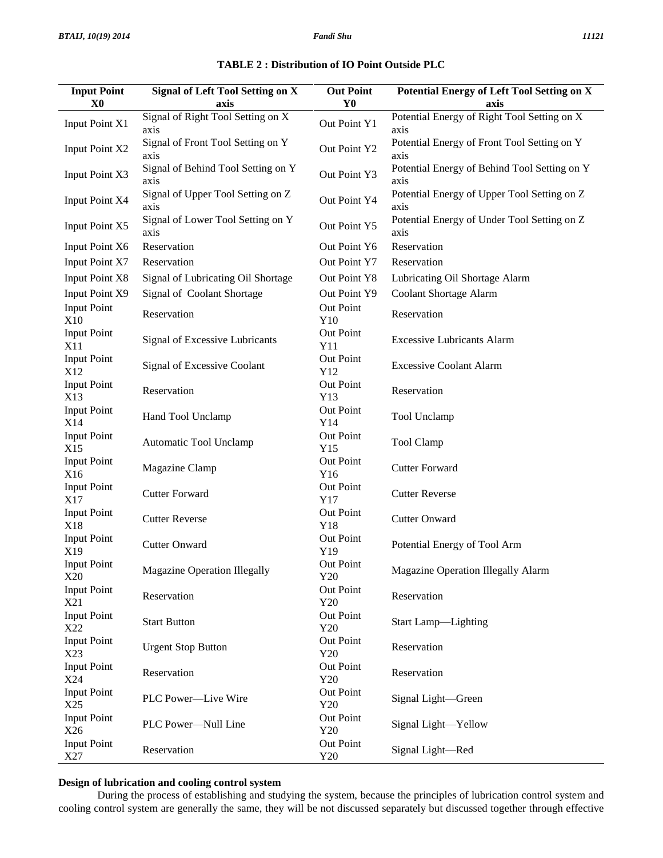**Input Point**

| <b>Signal of Left Tool Setting on X</b>                  | <b>Out Point</b> | Potential Energy of Left Tool Setting on X           |  |
|----------------------------------------------------------|------------------|------------------------------------------------------|--|
| axis                                                     | Y0               | axis                                                 |  |
| ignal of Right Tool Setting on X<br>xis                  | Out Point Y1     | Potential Energy of Right Tool Setting on X<br>axis  |  |
| ignal of Front Tool Setting on Y<br>Out Point Y2<br>xis. |                  | Potential Energy of Front Tool Setting on Y<br>axis  |  |
| ignal of Behind Tool Setting on Y<br>xis.                | Out Point Y3     | Potential Energy of Behind Tool Setting on Y<br>axis |  |
| ignal of Upper Tool Setting on Z<br>X1S                  | Out Point Y4     | Potential Energy of Upper Tool Setting on Z<br>axis  |  |
| ignal of Lower Tool Setting on Y<br>xis.                 | Out Point Y5     | Potential Energy of Under Tool Setting on Z<br>axis  |  |
| eservation                                               | Out Point Y6     | Reservation                                          |  |
| eservation                                               | Out Point Y7     | Reservation                                          |  |
| ignal of Lubricating Oil Shortage                        | Out Point Y8     | Lubricating Oil Shortage Alarm                       |  |
| ignal of Coolant Shortage                                | $Qut$ Doint VQ   | Coolant Shortage Alarm                               |  |

#### $TABLE 2: Dist$

| X <sub>0</sub>            | axis                                       | Y <sub>0</sub>   | axis                                                 |
|---------------------------|--------------------------------------------|------------------|------------------------------------------------------|
| <b>Input Point X1</b>     | Signal of Right Tool Setting on X<br>axis  | Out Point Y1     | Potential Energy of Right Tool Setting on X<br>axis  |
| <b>Input Point X2</b>     | Signal of Front Tool Setting on Y<br>axis  | Out Point Y2     | Potential Energy of Front Tool Setting on Y<br>axis  |
| Input Point X3            | Signal of Behind Tool Setting on Y<br>axis | Out Point Y3     | Potential Energy of Behind Tool Setting on Y<br>axis |
| Input Point X4            | Signal of Upper Tool Setting on Z<br>axis  | Out Point Y4     | Potential Energy of Upper Tool Setting on Z<br>axis  |
| Input Point X5            | Signal of Lower Tool Setting on Y<br>axis  | Out Point Y5     | Potential Energy of Under Tool Setting on Z<br>axis  |
| <b>Input Point X6</b>     | Reservation                                | Out Point Y6     | Reservation                                          |
| Input Point X7            | Reservation                                | Out Point Y7     | Reservation                                          |
| <b>Input Point X8</b>     | Signal of Lubricating Oil Shortage         | Out Point Y8     | Lubricating Oil Shortage Alarm                       |
| Input Point X9            | Signal of Coolant Shortage                 | Out Point Y9     | Coolant Shortage Alarm                               |
| <b>Input Point</b><br>X10 | Reservation                                | Out Point<br>Y10 | Reservation                                          |
| <b>Input Point</b><br>X11 | Signal of Excessive Lubricants             | Out Point<br>Y11 | <b>Excessive Lubricants Alarm</b>                    |
| <b>Input Point</b><br>X12 | Signal of Excessive Coolant                | Out Point<br>Y12 | <b>Excessive Coolant Alarm</b>                       |
| <b>Input Point</b><br>X13 | Reservation                                | Out Point<br>Y13 | Reservation                                          |
| <b>Input Point</b><br>X14 | Hand Tool Unclamp                          | Out Point<br>Y14 | Tool Unclamp                                         |
| <b>Input Point</b><br>X15 | Automatic Tool Unclamp                     | Out Point<br>Y15 | Tool Clamp                                           |
| <b>Input Point</b><br>X16 | Magazine Clamp                             | Out Point<br>Y16 | <b>Cutter Forward</b>                                |
| <b>Input Point</b><br>X17 | <b>Cutter Forward</b>                      | Out Point<br>Y17 | <b>Cutter Reverse</b>                                |
| <b>Input Point</b><br>X18 | <b>Cutter Reverse</b>                      | Out Point<br>Y18 | <b>Cutter Onward</b>                                 |
| <b>Input Point</b><br>X19 | <b>Cutter Onward</b>                       | Out Point<br>Y19 | Potential Energy of Tool Arm                         |
| <b>Input Point</b><br>X20 | <b>Magazine Operation Illegally</b>        | Out Point<br>Y20 | Magazine Operation Illegally Alarm                   |
| <b>Input Point</b><br>X21 | Reservation                                | Out Point<br>Y20 | Reservation                                          |
| <b>Input Point</b><br>X22 | <b>Start Button</b>                        | Out Point<br>Y20 | Start Lamp-Lighting                                  |
| <b>Input Point</b><br>X23 | <b>Urgent Stop Button</b>                  | Out Point<br>Y20 | Reservation                                          |
| <b>Input Point</b><br>X24 | Reservation                                | Out Point<br>Y20 | Reservation                                          |
| <b>Input Point</b><br>X25 | PLC Power-Live Wire                        | Out Point<br>Y20 | Signal Light-Green                                   |
| <b>Input Point</b><br>X26 | PLC Power-Null Line                        | Out Point<br>Y20 | Signal Light-Yellow                                  |
| <b>Input Point</b><br>X27 | Reservation                                | Out Point<br>Y20 | Signal Light-Red                                     |
|                           |                                            |                  |                                                      |

### **Design of lubrication and cooling control system**

During the process of establishing and studying the system, because the principles of lubrication control system and cooling control system are generally the same, they will be not discussed separately but discussed together through effective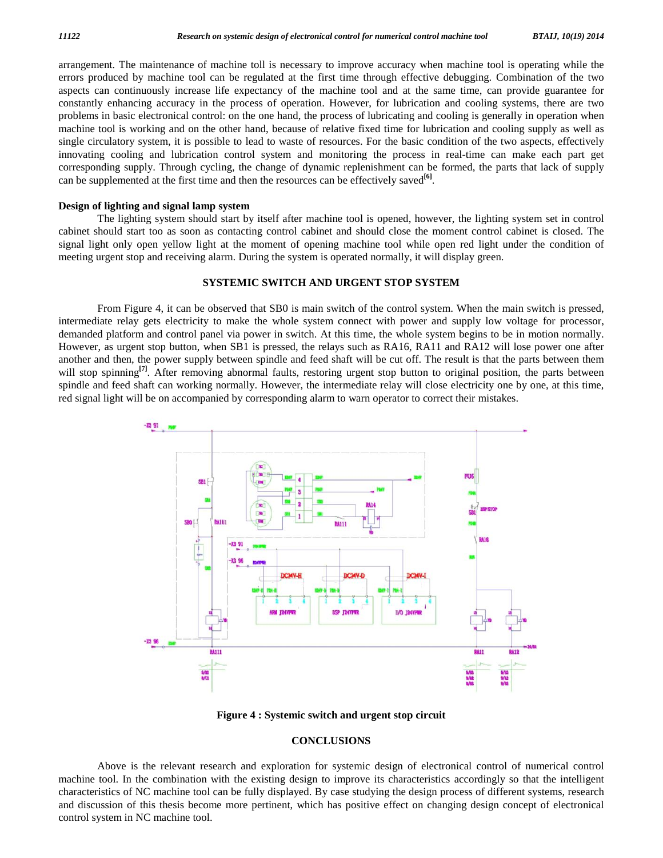arrangement. The maintenance of machine toll is necessary to improve accuracy when machine tool is operating while the errors produced by machine tool can be regulated at the first time through effective debugging. Combination ofthe two aspects can continuously increase life expectancy of the machine tool and at the same time, can provide guarantee for constantly enhancing accuracy in the process of operation. However, for lubrication and cooling systems, there are two problems in basic electronical control: on the one hand, the process of lubricating and cooling is generally in operation when machine tool is working and on the other hand, because of relative fixed time for lubrication and cooling supply as well as single circulatory system, it is possible to lead to waste of resources. For the basic condition of the two aspects, effectively innovating cooling and lubrication control system and monitoring the process in real-time can make each part get corresponding supply. Through cycling, the change of dynamic replenishment can be formed, the parts that lack of supply can be supplemented at the first time and then the resources can be effectively saved **[6]**.

#### **Design of lighting and signal lamp system**

The lighting system should start by itself after machine tool is opened, however, the lighting system set in control cabinet should start too as soon as contacting control cabinet and should close the moment control cabinet is closed. The signal light only open yellow light at the moment of opening machine tool while open red light under the condition of meeting urgent stop and receiving alarm. During the system is operated normally, it will display green.

#### **SYSTEMIC SWITCH AND URGENT STOP SYSTEM**

From Figure 4, it can be observed that SB0 is main switch of the control system. When the main switch is pressed, intermediate relay gets electricity to make the whole system connect with power and supply low voltage for processor, demanded platform and control panel via power in switch. At this time, the whole system begins to be in motion normally. However, as urgent stop button, when SB1 is pressed, the relays such as RA16, RA11 and RA12 will lose power one after another and then, the power supply between spindle and feed shaft will be cut off. The result is that the parts between them will stop spinning<sup>[7]</sup>. After removing abnormal faults, restoring urgent stop button to original position, the parts between spindle and feed shaft can working normally. However, the intermediate relay will close electricity one by one, at this time, red signal light will be on accompanied by corresponding alarm to warn operator to correct their mistakes.



**Figure 4 : Systemic switch and urgent stop circuit**

#### **CONCLUSIONS**

Above is the relevant research and exploration for systemic design of electronical control of numerical control machine tool. In the combination with the existing design to improve its characteristics accordingly so that the intelligent characteristics of NC machine tool can be fully displayed. By case studying the design process of different systems, research and discussion of this thesis become more pertinent, which has positive effect on changing design concept of electronical control system in NC machine tool.